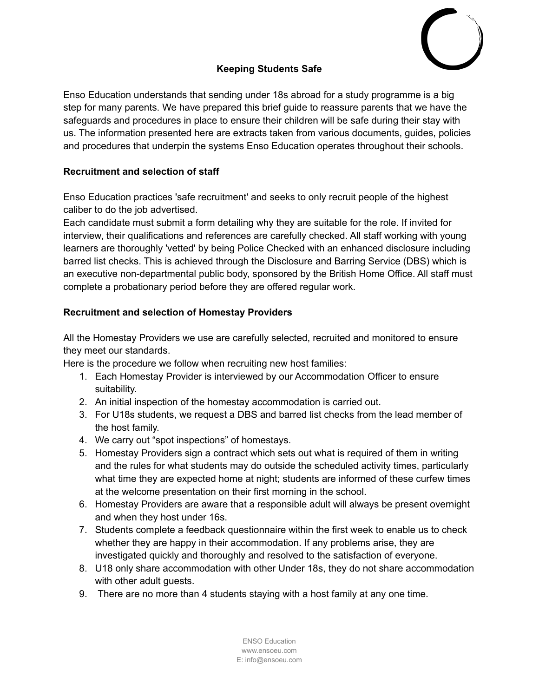

# **Keeping Students Safe**

Enso Education understands that sending under 18s abroad for a study programme is a big step for many parents. We have prepared this brief guide to reassure parents that we have the safeguards and procedures in place to ensure their children will be safe during their stay with us. The information presented here are extracts taken from various documents, guides, policies and procedures that underpin the systems Enso Education operates throughout their schools.

#### **Recruitment and selection of staff**

Enso Education practices 'safe recruitment' and seeks to only recruit people of the highest caliber to do the job advertised.

Each candidate must submit a form detailing why they are suitable for the role. If invited for interview, their qualifications and references are carefully checked. All staff working with young learners are thoroughly 'vetted' by being Police Checked with an enhanced disclosure including barred list checks. This is achieved through the Disclosure and Barring Service (DBS) which is an executive non-departmental public body, sponsored by the British Home Office. All staff must complete a probationary period before they are offered regular work.

## **Recruitment and selection of Homestay Providers**

All the Homestay Providers we use are carefully selected, recruited and monitored to ensure they meet our standards.

Here is the procedure we follow when recruiting new host families:

- 1. Each Homestay Provider is interviewed by our Accommodation Officer to ensure suitability.
- 2. An initial inspection of the homestay accommodation is carried out.
- 3. For U18s students, we request a DBS and barred list checks from the lead member of the host family.
- 4. We carry out "spot inspections" of homestays.
- 5. Homestay Providers sign a contract which sets out what is required of them in writing and the rules for what students may do outside the scheduled activity times, particularly what time they are expected home at night; students are informed of these curfew times at the welcome presentation on their first morning in the school.
- 6. Homestay Providers are aware that a responsible adult will always be present overnight and when they host under 16s.
- 7. Students complete a feedback questionnaire within the first week to enable us to check whether they are happy in their accommodation. If any problems arise, they are investigated quickly and thoroughly and resolved to the satisfaction of everyone.
- 8. U18 only share accommodation with other Under 18s, they do not share accommodation with other adult guests.
- 9. There are no more than 4 students staying with a host family at any one time.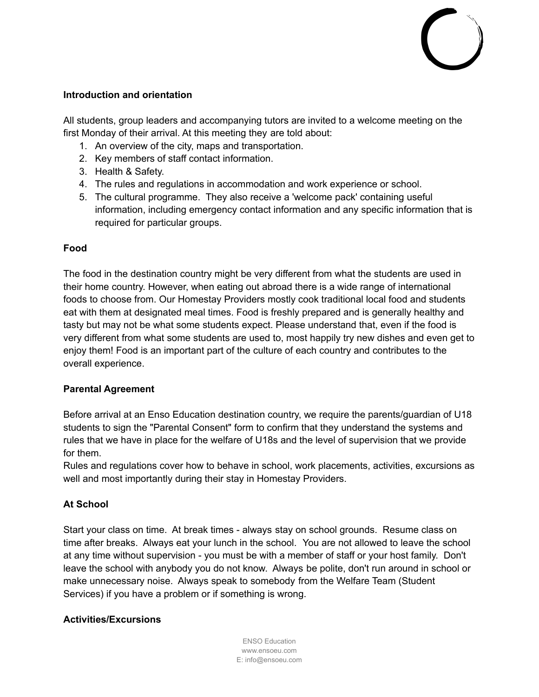#### **Introduction and orientation**

All students, group leaders and accompanying tutors are invited to a welcome meeting on the first Monday of their arrival. At this meeting they are told about:

- 1. An overview of the city, maps and transportation.
- 2. Key members of staff contact information.
- 3. Health & Safety.
- 4. The rules and regulations in accommodation and work experience or school.
- 5. The cultural programme. They also receive a 'welcome pack' containing useful information, including emergency contact information and any specific information that is required for particular groups.

#### **Food**

The food in the destination country might be very different from what the students are used in their home country. However, when eating out abroad there is a wide range of international foods to choose from. Our Homestay Providers mostly cook traditional local food and students eat with them at designated meal times. Food is freshly prepared and is generally healthy and tasty but may not be what some students expect. Please understand that, even if the food is very different from what some students are used to, most happily try new dishes and even get to enjoy them! Food is an important part of the culture of each country and contributes to the overall experience.

## **Parental Agreement**

Before arrival at an Enso Education destination country, we require the parents/guardian of U18 students to sign the "Parental Consent" form to confirm that they understand the systems and rules that we have in place for the welfare of U18s and the level of supervision that we provide for them.

Rules and regulations cover how to behave in school, work placements, activities, excursions as well and most importantly during their stay in Homestay Providers.

## **At School**

Start your class on time. At break times - always stay on school grounds. Resume class on time after breaks. Always eat your lunch in the school. You are not allowed to leave the school at any time without supervision - you must be with a member of staff or your host family. Don't leave the school with anybody you do not know. Always be polite, don't run around in school or make unnecessary noise. Always speak to somebody from the Welfare Team (Student Services) if you have a problem or if something is wrong.

## **Activities/Excursions**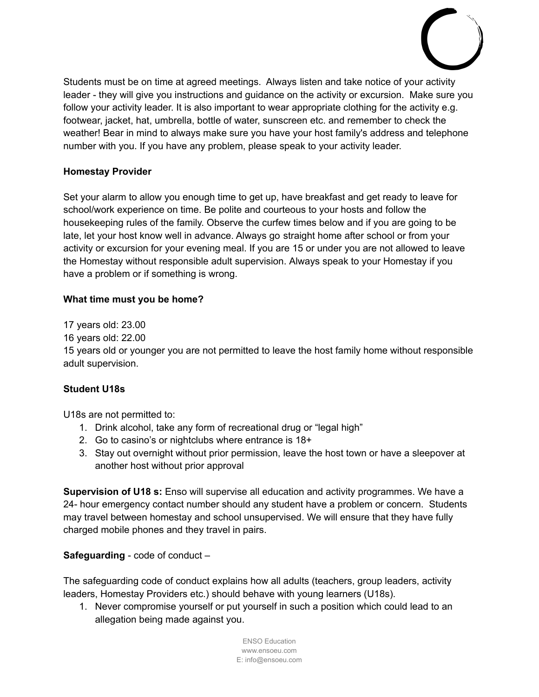

Students must be on time at agreed meetings. Always listen and take notice of your activity leader - they will give you instructions and guidance on the activity or excursion. Make sure you follow your activity leader. It is also important to wear appropriate clothing for the activity e.g. footwear, jacket, hat, umbrella, bottle of water, sunscreen etc. and remember to check the weather! Bear in mind to always make sure you have your host family's address and telephone number with you. If you have any problem, please speak to your activity leader.

## **Homestay Provider**

Set your alarm to allow you enough time to get up, have breakfast and get ready to leave for school/work experience on time. Be polite and courteous to your hosts and follow the housekeeping rules of the family. Observe the curfew times below and if you are going to be late, let your host know well in advance. Always go straight home after school or from your activity or excursion for your evening meal. If you are 15 or under you are not allowed to leave the Homestay without responsible adult supervision. Always speak to your Homestay if you have a problem or if something is wrong.

#### **What time must you be home?**

17 years old: 23.00

16 years old: 22.00

15 years old or younger you are not permitted to leave the host family home without responsible adult supervision.

## **Student U18s**

U18s are not permitted to:

- 1. Drink alcohol, take any form of recreational drug or "legal high"
- 2. Go to casino's or nightclubs where entrance is 18+
- 3. Stay out overnight without prior permission, leave the host town or have a sleepover at another host without prior approval

**Supervision of U18 s:** Enso will supervise all education and activity programmes. We have a 24- hour emergency contact number should any student have a problem or concern. Students may travel between homestay and school unsupervised. We will ensure that they have fully charged mobile phones and they travel in pairs.

**Safeguarding** - code of conduct –

The safeguarding code of conduct explains how all adults (teachers, group leaders, activity leaders, Homestay Providers etc.) should behave with young learners (U18s).

1. Never compromise yourself or put yourself in such a position which could lead to an allegation being made against you.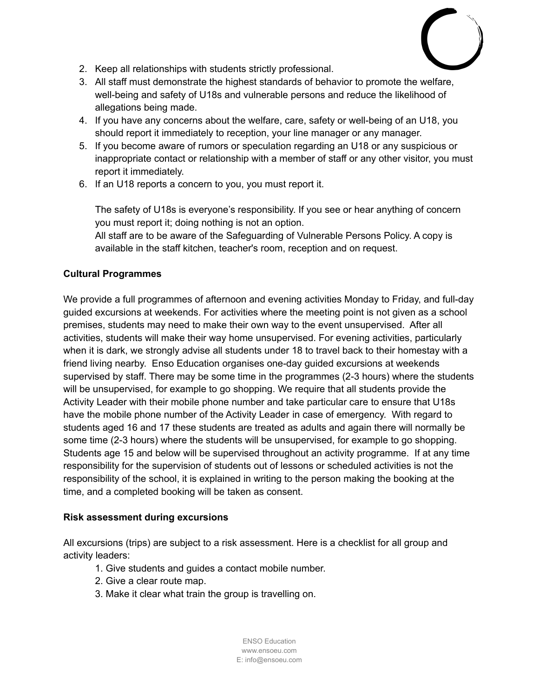

- 2. Keep all relationships with students strictly professional.
- 3. All staff must demonstrate the highest standards of behavior to promote the welfare, well-being and safety of U18s and vulnerable persons and reduce the likelihood of allegations being made.
- 4. If you have any concerns about the welfare, care, safety or well-being of an U18, you should report it immediately to reception, your line manager or any manager.
- 5. If you become aware of rumors or speculation regarding an U18 or any suspicious or inappropriate contact or relationship with a member of staff or any other visitor, you must report it immediately.
- 6. If an U18 reports a concern to you, you must report it.

The safety of U18s is everyone's responsibility. If you see or hear anything of concern you must report it; doing nothing is not an option.

All staff are to be aware of the Safeguarding of Vulnerable Persons Policy. A copy is available in the staff kitchen, teacher's room, reception and on request.

## **Cultural Programmes**

We provide a full programmes of afternoon and evening activities Monday to Friday, and full-day guided excursions at weekends. For activities where the meeting point is not given as a school premises, students may need to make their own way to the event unsupervised. After all activities, students will make their way home unsupervised. For evening activities, particularly when it is dark, we strongly advise all students under 18 to travel back to their homestay with a friend living nearby. Enso Education organises one-day guided excursions at weekends supervised by staff. There may be some time in the programmes (2-3 hours) where the students will be unsupervised, for example to go shopping. We require that all students provide the Activity Leader with their mobile phone number and take particular care to ensure that U18s have the mobile phone number of the Activity Leader in case of emergency. With regard to students aged 16 and 17 these students are treated as adults and again there will normally be some time (2-3 hours) where the students will be unsupervised, for example to go shopping. Students age 15 and below will be supervised throughout an activity programme. If at any time responsibility for the supervision of students out of lessons or scheduled activities is not the responsibility of the school, it is explained in writing to the person making the booking at the time, and a completed booking will be taken as consent.

#### **Risk assessment during excursions**

All excursions (trips) are subject to a risk assessment. Here is a checklist for all group and activity leaders:

- 1. Give students and guides a contact mobile number.
- 2. Give a clear route map.
- 3. Make it clear what train the group is travelling on.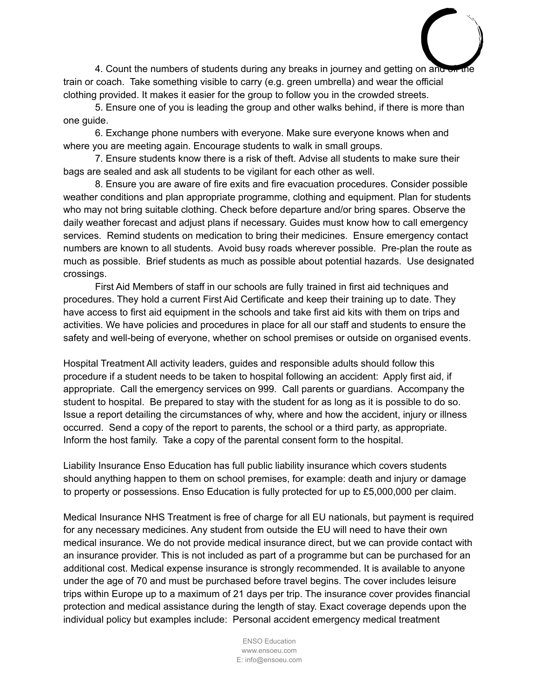4. Count the numbers of students during any breaks in journey and getting on and on the train or coach. Take something visible to carry (e.g. green umbrella) and wear the official clothing provided. It makes it easier for the group to follow you in the crowded streets.

5. Ensure one of you is leading the group and other walks behind, if there is more than one guide.

6. Exchange phone numbers with everyone. Make sure everyone knows when and where you are meeting again. Encourage students to walk in small groups.

7. Ensure students know there is a risk of theft. Advise all students to make sure their bags are sealed and ask all students to be vigilant for each other as well.

8. Ensure you are aware of fire exits and fire evacuation procedures. Consider possible weather conditions and plan appropriate programme, clothing and equipment. Plan for students who may not bring suitable clothing. Check before departure and/or bring spares. Observe the daily weather forecast and adjust plans if necessary. Guides must know how to call emergency services. Remind students on medication to bring their medicines. Ensure emergency contact numbers are known to all students. Avoid busy roads wherever possible. Pre-plan the route as much as possible. Brief students as much as possible about potential hazards. Use designated crossings.

First Aid Members of staff in our schools are fully trained in first aid techniques and procedures. They hold a current First Aid Certificate and keep their training up to date. They have access to first aid equipment in the schools and take first aid kits with them on trips and activities. We have policies and procedures in place for all our staff and students to ensure the safety and well-being of everyone, whether on school premises or outside on organised events.

Hospital Treatment All activity leaders, guides and responsible adults should follow this procedure if a student needs to be taken to hospital following an accident: Apply first aid, if appropriate. Call the emergency services on 999. Call parents or guardians. Accompany the student to hospital. Be prepared to stay with the student for as long as it is possible to do so. Issue a report detailing the circumstances of why, where and how the accident, injury or illness occurred. Send a copy of the report to parents, the school or a third party, as appropriate. Inform the host family. Take a copy of the parental consent form to the hospital.

Liability Insurance Enso Education has full public liability insurance which covers students should anything happen to them on school premises, for example: death and injury or damage to property or possessions. Enso Education is fully protected for up to £5,000,000 per claim.

Medical Insurance NHS Treatment is free of charge for all EU nationals, but payment is required for any necessary medicines. Any student from outside the EU will need to have their own medical insurance. We do not provide medical insurance direct, but we can provide contact with an insurance provider. This is not included as part of a programme but can be purchased for an additional cost. Medical expense insurance is strongly recommended. It is available to anyone under the age of 70 and must be purchased before travel begins. The cover includes leisure trips within Europe up to a maximum of 21 days per trip. The insurance cover provides financial protection and medical assistance during the length of stay. Exact coverage depends upon the individual policy but examples include: Personal accident emergency medical treatment